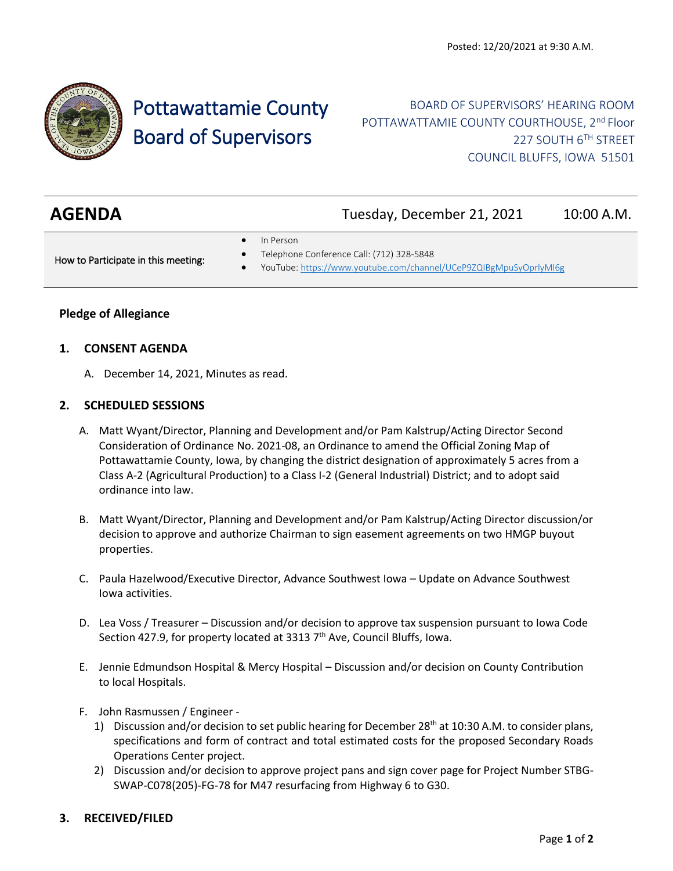

# Pottawattamie County Board of Supervisors

# BOARD OF SUPERVISORS' HEARING ROOM POTTAWATTAMIE COUNTY COURTHOUSE, 2<sup>nd</sup> Floor 227 SOUTH 6TH STREET COUNCIL BLUFFS, IOWA 51501

| <b>AGENDA</b>                       | Tuesday, December 21, 2021                                                                                                  | 10:00 A.M. |
|-------------------------------------|-----------------------------------------------------------------------------------------------------------------------------|------------|
| How to Participate in this meeting: | In Person<br>Telephone Conference Call: (712) 328-5848<br>YouTube: https://www.youtube.com/channel/UCeP9ZQIBgMpuSyOprlyMl6g |            |

## **Pledge of Allegiance**

#### **1. CONSENT AGENDA**

A. December 14, 2021, Minutes as read.

#### **2. SCHEDULED SESSIONS**

- A. Matt Wyant/Director, Planning and Development and/or Pam Kalstrup/Acting Director Second Consideration of Ordinance No. 2021-08, an Ordinance to amend the Official Zoning Map of Pottawattamie County, Iowa, by changing the district designation of approximately 5 acres from a Class A-2 (Agricultural Production) to a Class I-2 (General Industrial) District; and to adopt said ordinance into law.
- B. Matt Wyant/Director, Planning and Development and/or Pam Kalstrup/Acting Director discussion/or decision to approve and authorize Chairman to sign easement agreements on two HMGP buyout properties.
- C. Paula Hazelwood/Executive Director, Advance Southwest Iowa Update on Advance Southwest Iowa activities.
- D. Lea Voss / Treasurer Discussion and/or decision to approve tax suspension pursuant to Iowa Code Section 427.9, for property located at 3313  $7<sup>th</sup>$  Ave, Council Bluffs, Iowa.
- E. Jennie Edmundson Hospital & Mercy Hospital Discussion and/or decision on County Contribution to local Hospitals.
- F. John Rasmussen / Engineer
	- 1) Discussion and/or decision to set public hearing for December  $28<sup>th</sup>$  at 10:30 A.M. to consider plans, specifications and form of contract and total estimated costs for the proposed Secondary Roads Operations Center project.
	- 2) Discussion and/or decision to approve project pans and sign cover page for Project Number STBG-SWAP-C078(205)-FG-78 for M47 resurfacing from Highway 6 to G30.

#### **3. RECEIVED/FILED**